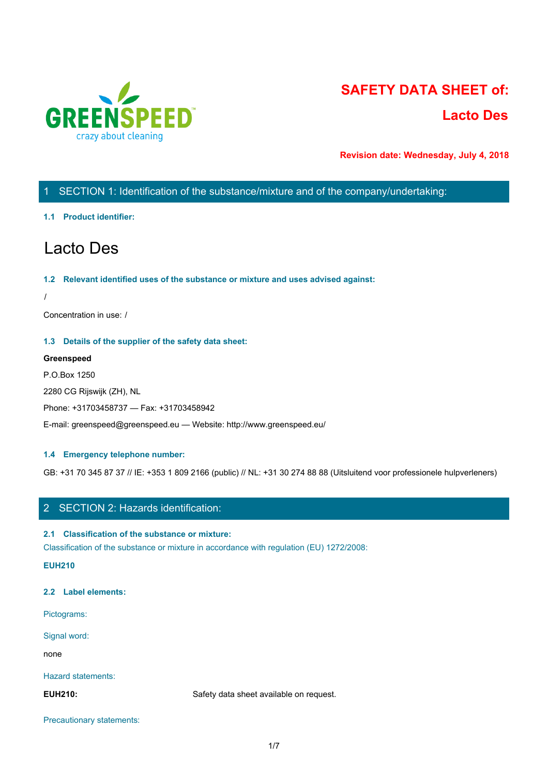

# **SAFETY DATA SHEET of: Lacto Des**

**Revision date: Wednesday, July 4, 2018**

# 1 SECTION 1: Identification of the substance/mixture and of the company/undertaking:

# **1.1 Product identifier:**

# Lacto Des

# **1.2 Relevant identified uses of the substance or mixture and uses advised against:**

/

Concentration in use: /

# **1.3 Details of the supplier of the safety data sheet:**

# **Greenspeed**

P.O.Box 1250

2280 CG Rijswijk (ZH), NL

Phone: +31703458737 — Fax: +31703458942

E-mail: greenspeed@greenspeed.eu — Website: http://www.greenspeed.eu/

# **1.4 Emergency telephone number:**

GB: +31 70 345 87 37 // IE: +353 1 809 2166 (public) // NL: +31 30 274 88 88 (Uitsluitend voor professionele hulpverleners)

# 2 SECTION 2: Hazards identification:

# **2.1 Classification of the substance or mixture:**

Classification of the substance or mixture in accordance with regulation (EU) 1272/2008:

**EUH210**

# **2.2 Label elements:**

Pictograms:

Signal word:

none and the state of the state of the state of the state of the state of the state of the state of the state of the state of the state of the state of the state of the state of the state of the state of the state of the s

## Hazard statements:

**EUH210:** Safety data sheet available on request.

Precautionary statements: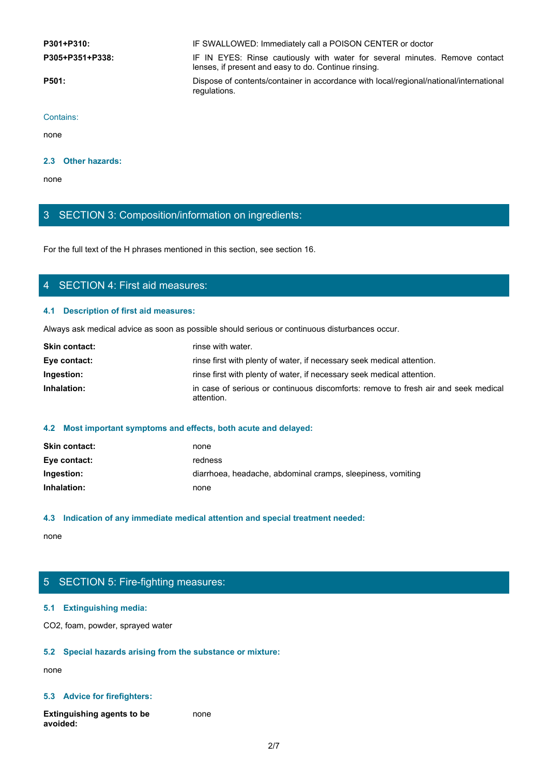**P301+P310:** IF SWALLOWED: Immediately call a POISON CENTER or doctor

**P301+P310:**<br>
IF SWALLOWED: Immediately call a POISON CENTER or doctor<br> **P305+P351+P338:**<br>
IF IN EYES: Rinse cautiously with water for several minutes. Remove contact<br>
lenses, if present and easy to do. Continue rinsing.<br> lenses, if present and easy to do. Continue rinsing.

**P501:** Dispose of contents/container in accordance with local/regional/national/international regulations.

Contains:

none and the state of the state of the state of the state of the state of the state of the state of the state of the state of the state of the state of the state of the state of the state of the state of the state of the s

# **2.3 Other hazards:**

none and the state of the state of the state of the state of the state of the state of the state of the state o

# 3 SECTION 3: Composition/information on ingredients:

For the full text of the H phrases mentioned in this section, see section 16.

# 4 SECTION 4: First aid measures:

# **4.1 Description of first aid measures:**

Always ask medical advice as soon as possible should serious or continuous disturbances occur.

| <b>Skin contact:</b> | rinse with water.                                                                                |
|----------------------|--------------------------------------------------------------------------------------------------|
| Eye contact:         | rinse first with plenty of water, if necessary seek medical attention.                           |
| Ingestion:           | rinse first with plenty of water, if necessary seek medical attention.                           |
| Inhalation:          | in case of serious or continuous discomforts: remove to fresh air and seek medical<br>attention. |

# **4.2 Most important symptoms and effects, both acute and delayed:**

| <b>Skin contact:</b> | none                                                        |
|----------------------|-------------------------------------------------------------|
| Eye contact:         | redness                                                     |
| Ingestion:           | diarrhoea, headache, abdominal cramps, sleepiness, vomiting |
| Inhalation:          | none                                                        |

# **4.3 Indication of any immediate medical attention and special treatment needed:**

none and the state of the state of the state of the state of the state of the state of the state of the state of the state of the state of the state of the state of the state of the state of the state of the state of the s

# 5 SECTION 5: Fire-fighting measures:

# **5.1 Extinguishing media:**

CO2, foam, powder, sprayed water

## **5.2 Special hazards arising from the substance or mixture:**

none and the state of the state of the state of the state of the state of the state of the state of the state of the state of the state of the state of the state of the state of the state of the state of the state of the s

# **5.3 Advice for firefighters:**

**Extinguishing agents to be avoided:** none and the state of the state of the state of the state of the state of the state of the state of the state of the state of the state of the state of the state of the state of the state of the state of the state of the s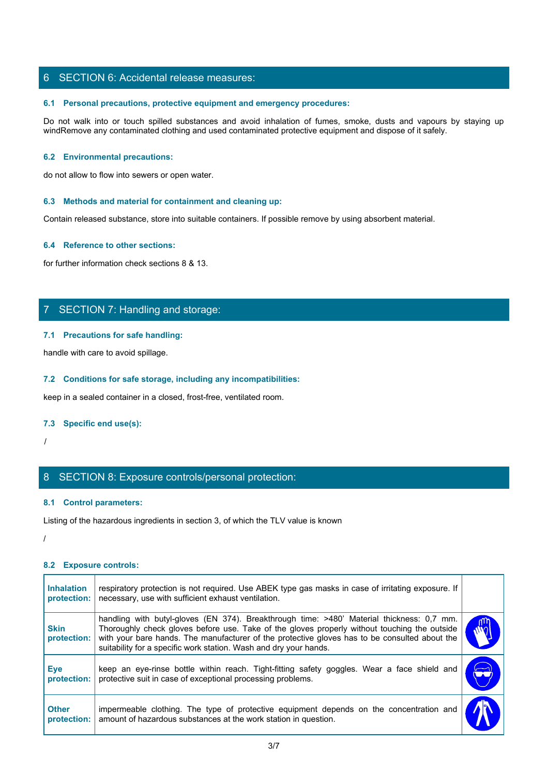# 6 SECTION 6: Accidental release measures:

## **6.1 Personal precautions, protective equipment and emergency procedures:**

SECTION 6: Accidental release measures:<br>
6.1 Personal precautions, protective equipment and emergency procedures:<br>
Do not walk into or touch spilled substances and avoid inhalation of fumes, smoke, dusts and vapours by sta windRemove any contaminated clothing and used contaminated protective equipment and dispose of it safely.

## **6.2 Environmental precautions:**

do not allow to flow into sewers or open water.

#### **6.3 Methods and material for containment and cleaning up:**

Contain released substance, store into suitable containers. If possible remove by using absorbent material.

#### **6.4 Reference to other sections:**

for further information check sections 8 & 13.

# 7 SECTION 7: Handling and storage:

#### **7.1 Precautions for safe handling:**

# **7.2 Conditions for safe storage, including any incompatibilities:**

#### **7.3 Specific end use(s):**

# 8 SECTION 8: Exposure controls/personal protection:

## **8.1 Control parameters:**

#### /

# **8.2 Exposure controls:**

| handle with care to avoid spillage.                                                                                                                                                                                                                                                                                                                                                           |
|-----------------------------------------------------------------------------------------------------------------------------------------------------------------------------------------------------------------------------------------------------------------------------------------------------------------------------------------------------------------------------------------------|
| 7.2 Conditions for safe storage, including any incompatibilities:                                                                                                                                                                                                                                                                                                                             |
| keep in a sealed container in a closed, frost-free, ventilated room.                                                                                                                                                                                                                                                                                                                          |
| 7.3 Specific end use(s):                                                                                                                                                                                                                                                                                                                                                                      |
|                                                                                                                                                                                                                                                                                                                                                                                               |
| 8 SECTION 8: Exposure controls/personal protection:                                                                                                                                                                                                                                                                                                                                           |
| 8.1 Control parameters:                                                                                                                                                                                                                                                                                                                                                                       |
| Listing of the hazardous ingredients in section 3, of which the TLV value is known                                                                                                                                                                                                                                                                                                            |
|                                                                                                                                                                                                                                                                                                                                                                                               |
| 8.2 Exposure controls:                                                                                                                                                                                                                                                                                                                                                                        |
| respiratory protection is not required. Use ABEK type gas masks in case of irritating exposure. If<br><b>Inhalation</b><br>necessary, use with sufficient exhaust ventilation.<br>protection:                                                                                                                                                                                                 |
| handling with butyl-gloves (EN 374). Breakthrough time: >480' Material thickness: 0,7 mm.<br>Thoroughly check gloves before use. Take of the gloves properly without touching the outside<br><b>Skin</b><br>with your bare hands. The manufacturer of the protective gloves has to be consulted about the<br>protection:<br>suitability for a specific work station. Wash and dry your hands. |
| keep an eye-rinse bottle within reach. Tight-fitting safety goggles. Wear a face shield and<br><b>Eye</b><br><b>DO</b><br>protective suit in case of exceptional processing problems.<br>protection:                                                                                                                                                                                          |
| impermeable clothing. The type of protective equipment depends on the concentration and<br><b>Other</b><br>amount of hazardous substances at the work station in question.<br>protection:                                                                                                                                                                                                     |
| 3/7                                                                                                                                                                                                                                                                                                                                                                                           |
|                                                                                                                                                                                                                                                                                                                                                                                               |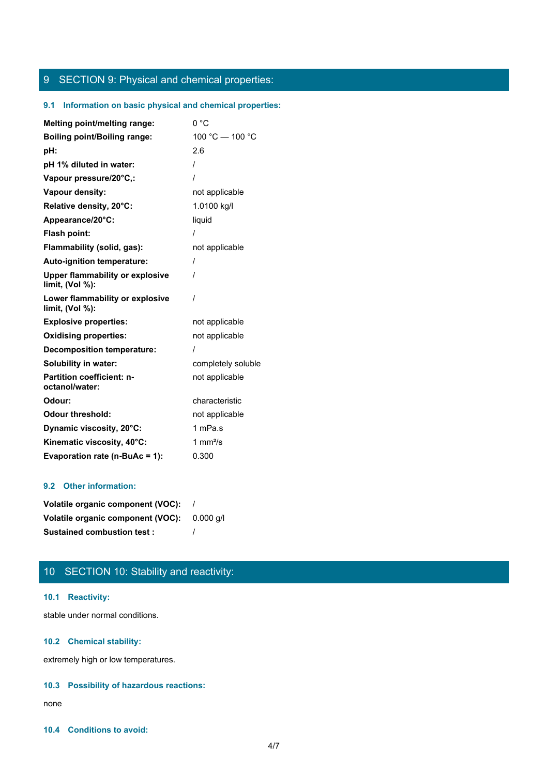# 9 SECTION 9: Physical and chemical properties:

# **9.1 Information on basic physical and chemical properties:**

| <b>Melting point/melting range:</b>                       | 0 °C               |
|-----------------------------------------------------------|--------------------|
| <b>Boiling point/Boiling range:</b>                       | 100 °C - 100 °C    |
| pH:                                                       | 2.6                |
| pH 1% diluted in water:                                   |                    |
| Vapour pressure/20°C,:                                    |                    |
| Vapour density:                                           | not applicable     |
| Relative density, 20°C:                                   | 1.0100 kg/l        |
| Appearance/20°C:                                          | liquid             |
| Flash point:                                              |                    |
| Flammability (solid, gas):                                | not applicable     |
| Auto-ignition temperature:                                | $\prime$           |
| <b>Upper flammability or explosive</b><br>limit, (Vol %): |                    |
| Lower flammability or explosive<br>limit, (Vol %):        | $\prime$           |
| <b>Explosive properties:</b>                              | not applicable     |
| <b>Oxidising properties:</b>                              | not applicable     |
| <b>Decomposition temperature:</b>                         |                    |
| <b>Solubility in water:</b>                               | completely soluble |
| <b>Partition coefficient: n-</b><br>octanol/water:        | not applicable     |
| Odour:                                                    | characteristic     |
| <b>Odour threshold:</b>                                   | not applicable     |
| Dynamic viscosity, 20°C:                                  | 1 mPa.s            |
| Kinematic viscosity, 40°C:                                | 1 mm $^{2}/s$      |
| Evaporation rate (n-BuAc = 1):                            | 0.300              |

# **9.2 Other information:**

| Volatile organic component (VOC): |           |
|-----------------------------------|-----------|
| Volatile organic component (VOC): | 0.000 a/l |
| <b>Sustained combustion test:</b> |           |

# 10 SECTION 10: Stability and reactivity:

# **10.1 Reactivity:**

stable under normal conditions.

# **10.2 Chemical stability:**

extremely high or low temperatures.

# **10.3 Possibility of hazardous reactions:**

none and the state of the state of the state of the state of the state of the state of the state of the state of the state of the state of the state of the state of the state of the state of the state of the state of the s

# **10.4 Conditions to avoid:**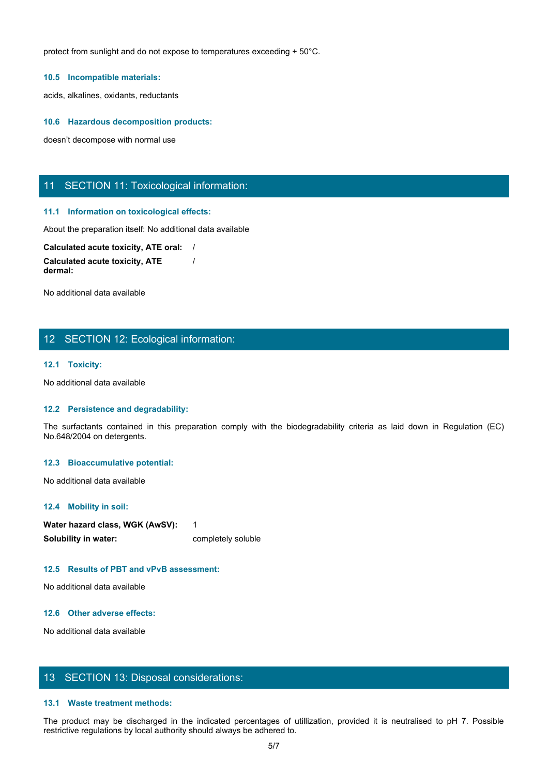protect from sunlight and do not expose to temperatures exceeding + 50°C.

#### **10.5 Incompatible materials:**

acids, alkalines, oxidants, reductants

#### **10.6 Hazardous decomposition products:**

doesn't decompose with normal use

# 11 SECTION 11: Toxicological information:

#### **11.1 Information on toxicological effects:**

About the preparation itself: No additional data available

**Calculated acute toxicity, ATE oral:** / **Calculated acute toxicity, ATE dermal:** /

No additional data available

# 12 SECTION 12: Ecological information:

## **12.1 Toxicity:**

No additional data available

## **12.2 Persistence and degradability:**

The surfactants contained in this preparation contained in the surfactors contained in the surfactor of contained a contained a contained a complement of contained a complement of the memission complete as later and the se No.648/2004 on detergents.

# **12.3 Bioaccumulative potential:**

No additional data available

#### **12.4 Mobility in soil:**

| Water hazard class, WGK (AwSV): |                    |
|---------------------------------|--------------------|
| Solubility in water:            | completely soluble |

# **12.5 Results of PBT and vPvB assessment:**

No additional data available

# **12.6 Other adverse effects:**

No additional data available

# 13 SECTION 13: Disposal considerations:

## **13.1 Waste treatment methods:**

The product may be discharged in the indicated in the indicated in the indicated in the indicated in the indicated percentages of utilization (AMST)<br>The product may be discussed percentages of the indicated percentages of restrictive regulations by local authority should always be adhered to.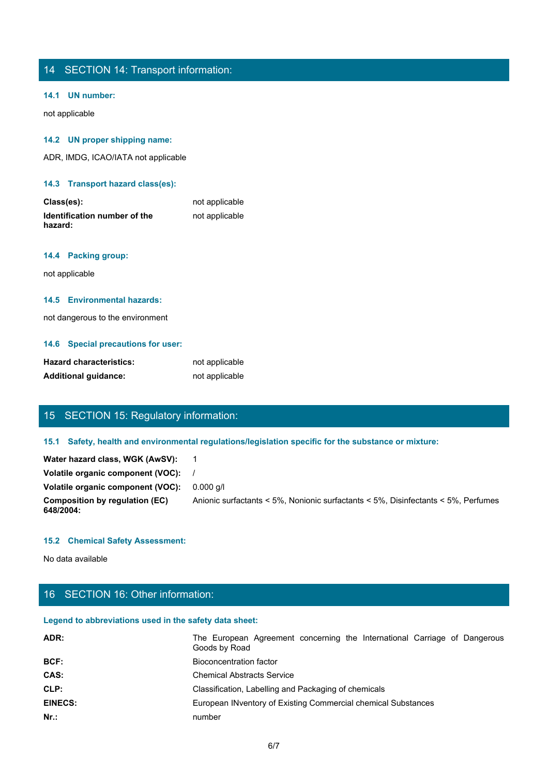# 14 SECTION 14: Transport information:

# **14.1 UN number:**

not applicable

# **14.2 UN proper shipping name:**

ADR, IMDG, ICAO/IATA not applicable

**14.3 Transport hazard class(es):**

| Class(es):                              | not applicable |
|-----------------------------------------|----------------|
| Identification number of the<br>hazard: | not applicable |

# **14.4 Packing group:**

not applicable

# **14.5 Environmental hazards:**

not dangerous to the environment

# **14.6 Special precautions for user:**

| <b>Hazard characteristics:</b> | not applicable |
|--------------------------------|----------------|
| <b>Additional quidance:</b>    | not applicable |

# 15 SECTION 15: Regulatory information:

| Water hazard class, WGK (AwSV):             |                                                                                   |
|---------------------------------------------|-----------------------------------------------------------------------------------|
| Volatile organic component (VOC):           |                                                                                   |
| Volatile organic component (VOC):           | $0.000$ a/l                                                                       |
| Composition by regulation (EC)<br>648/2004: | Anionic surfactants < 5%, Nonionic surfactants < 5%, Disinfectants < 5%, Perfumes |

# **15.2 Chemical Safety Assessment:**

# 16 SECTION 16: Other information:

# **Legend to abbreviations used in the safety data sheet:**

| <b>Hazard characteristics:</b>                         | not applicable                                                                                       |
|--------------------------------------------------------|------------------------------------------------------------------------------------------------------|
| <b>Additional guidance:</b>                            | not applicable                                                                                       |
|                                                        |                                                                                                      |
|                                                        |                                                                                                      |
| 15 SECTION 15: Regulatory information:                 |                                                                                                      |
|                                                        | 15.1 Safety, health and environmental regulations/legislation specific for the substance or mixture: |
| Water hazard class, WGK (AwSV):                        | $\overline{1}$                                                                                       |
| Volatile organic component (VOC):                      |                                                                                                      |
| Volatile organic component (VOC):                      | $0.000$ g/l                                                                                          |
| <b>Composition by regulation (EC)</b><br>648/2004:     | Anionic surfactants < 5%, Nonionic surfactants < 5%, Disinfectants < 5%, Perfumes                    |
| <b>15.2 Chemical Safety Assessment:</b>                |                                                                                                      |
|                                                        |                                                                                                      |
| No data available                                      |                                                                                                      |
|                                                        |                                                                                                      |
| 16 SECTION 16: Other information:                      |                                                                                                      |
| Legend to abbreviations used in the safety data sheet: |                                                                                                      |
| ADR:                                                   | The European Agreement concerning the International Carriage of Dangerous<br>Goods by Road           |
| BCF:                                                   | <b>Bioconcentration factor</b>                                                                       |
| CAS:                                                   | <b>Chemical Abstracts Service</b>                                                                    |
| CLP:                                                   | Classification, Labelling and Packaging of chemicals                                                 |
| <b>EINECS:</b>                                         | European INventory of Existing Commercial chemical Substances                                        |
| $Nr.$ :                                                | number                                                                                               |